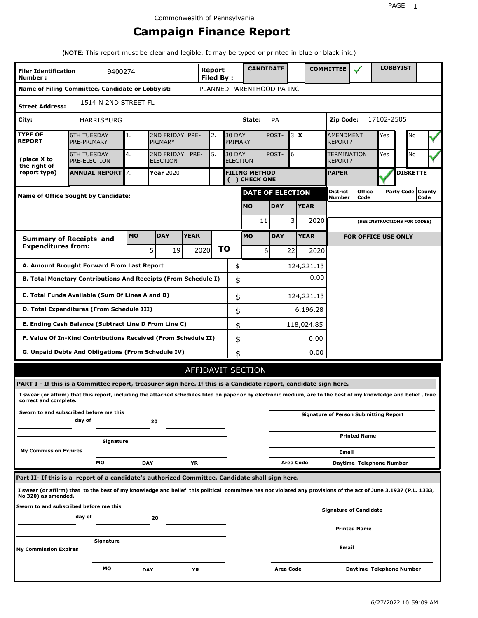# **Campaign Finance Report**

**(NOTE:** This report must be clear and legible. It may be typed or printed in blue or black ink.)

| <b>Filer Identification</b><br>Number:                                       | 9400274                                                                                                                                                         |            |                                                                                 |             | Report<br>Filed By: |           | <b>CANDIDATE</b>                      |               |                  |                                    | <b>COMMITTEE</b>          |                                              |    | <b>LOBBYIST</b>              |                             |  |
|------------------------------------------------------------------------------|-----------------------------------------------------------------------------------------------------------------------------------------------------------------|------------|---------------------------------------------------------------------------------|-------------|---------------------|-----------|---------------------------------------|---------------|------------------|------------------------------------|---------------------------|----------------------------------------------|----|------------------------------|-----------------------------|--|
|                                                                              | Name of Filing Committee, Candidate or Lobbyist:                                                                                                                |            |                                                                                 |             |                     |           | PLANNED PARENTHOOD PA INC             |               |                  |                                    |                           |                                              |    |                              |                             |  |
| <b>Street Address:</b>                                                       | 1514 N 2ND STREET FL                                                                                                                                            |            |                                                                                 |             |                     |           |                                       |               |                  |                                    |                           |                                              |    |                              |                             |  |
| City:                                                                        | HARRISBURG                                                                                                                                                      |            |                                                                                 |             |                     |           | State:                                | PA            |                  |                                    | 17102-2505<br>Zip Code:   |                                              |    |                              |                             |  |
| <b>TYPE OF</b><br><b>REPORT</b>                                              | <b>6TH TUESDAY</b><br>PRE-PRIMARY                                                                                                                               | 1.         | 2ND FRIDAY PRE-<br><b>30 DAY</b><br>2.<br>PRIMARY<br>PRIMARY                    |             |                     |           |                                       | POST-<br>3. X |                  | <b>AMENDMENT</b><br><b>REPORT?</b> |                           | Yes                                          | No |                              |                             |  |
| (place X to<br>the right of                                                  | <b>6TH TUESDAY</b><br>PRE-ELECTION                                                                                                                              | 4.         | 2ND FRIDAY<br>PRE-<br>5.<br><b>30 DAY</b><br><b>ELECTION</b><br><b>ELECTION</b> |             |                     |           | POST-                                 | 6.            |                  | <b>TERMINATION</b><br>REPORT?      |                           | Yes                                          | No |                              |                             |  |
| report type)                                                                 | <b>ANNUAL REPORT</b> 7.                                                                                                                                         |            | Year 2020                                                                       |             |                     |           | <b>FILING METHOD</b><br>( ) CHECK ONE |               |                  |                                    | <b>PAPER</b>              |                                              |    | <b>DISKETTE</b>              |                             |  |
|                                                                              | <b>Name of Office Sought by Candidate:</b>                                                                                                                      |            |                                                                                 |             |                     |           | <b>DATE OF ELECTION</b>               |               |                  |                                    | <b>District</b><br>Number | <b>Office</b><br>Code                        |    |                              | Party Code   County<br>Code |  |
|                                                                              |                                                                                                                                                                 |            |                                                                                 |             |                     |           | <b>MO</b>                             | <b>DAY</b>    |                  | <b>YEAR</b>                        |                           |                                              |    |                              |                             |  |
|                                                                              |                                                                                                                                                                 |            |                                                                                 |             |                     |           | 11                                    |               | 3                | 2020                               |                           |                                              |    | (SEE INSTRUCTIONS FOR CODES) |                             |  |
|                                                                              | <b>Summary of Receipts and</b>                                                                                                                                  | <b>MO</b>  | <b>DAY</b>                                                                      | <b>YEAR</b> |                     |           | <b>MO</b>                             | <b>DAY</b>    |                  | <b>YEAR</b>                        |                           | <b>FOR OFFICE USE ONLY</b>                   |    |                              |                             |  |
| <b>Expenditures from:</b>                                                    |                                                                                                                                                                 |            | 5 <sup>1</sup><br>19 I                                                          |             | 2020                | <b>TO</b> | 6                                     |               | 22               | 2020                               |                           |                                              |    |                              |                             |  |
|                                                                              | A. Amount Brought Forward From Last Report                                                                                                                      |            |                                                                                 |             |                     | \$        |                                       |               |                  | 124,221.13                         |                           |                                              |    |                              |                             |  |
| 0.00<br>B. Total Monetary Contributions And Receipts (From Schedule I)<br>\$ |                                                                                                                                                                 |            |                                                                                 |             |                     |           |                                       |               |                  |                                    |                           |                                              |    |                              |                             |  |
| C. Total Funds Available (Sum Of Lines A and B)<br>\$<br>124,221.13          |                                                                                                                                                                 |            |                                                                                 |             |                     |           |                                       |               |                  |                                    |                           |                                              |    |                              |                             |  |
|                                                                              | D. Total Expenditures (From Schedule III)                                                                                                                       |            |                                                                                 |             |                     |           | \$                                    |               |                  | 6,196.28                           |                           |                                              |    |                              |                             |  |
|                                                                              | E. Ending Cash Balance (Subtract Line D From Line C)                                                                                                            |            |                                                                                 |             |                     |           | \$                                    |               |                  | 118,024.85                         |                           |                                              |    |                              |                             |  |
|                                                                              | F. Value Of In-Kind Contributions Received (From Schedule II)                                                                                                   |            |                                                                                 |             |                     |           | \$                                    |               |                  | 0.00                               |                           |                                              |    |                              |                             |  |
|                                                                              | <b>G. Unpaid Debts And Obligations (From Schedule IV)</b>                                                                                                       |            |                                                                                 |             |                     |           | \$                                    |               |                  | 0.00                               |                           |                                              |    |                              |                             |  |
|                                                                              |                                                                                                                                                                 |            |                                                                                 |             |                     |           | <b>AFFIDAVIT SECTION</b>              |               |                  |                                    |                           |                                              |    |                              |                             |  |
|                                                                              | PART I - If this is a Committee report, treasurer sign here. If this is a Candidate report, candidate sign here.                                                |            |                                                                                 |             |                     |           |                                       |               |                  |                                    |                           |                                              |    |                              |                             |  |
| correct and complete.                                                        | I swear (or affirm) that this report, including the attached schedules filed on paper or by electronic medium, are to the best of my knowledge and belief, true |            |                                                                                 |             |                     |           |                                       |               |                  |                                    |                           |                                              |    |                              |                             |  |
|                                                                              | Sworn to and subscribed before me this<br>day of                                                                                                                |            | 20                                                                              |             |                     |           |                                       |               |                  |                                    |                           | <b>Signature of Person Submitting Report</b> |    |                              |                             |  |
|                                                                              | Signature                                                                                                                                                       |            |                                                                                 |             |                     |           |                                       |               |                  |                                    |                           | <b>Printed Name</b>                          |    |                              |                             |  |
| <b>My Commission Expires</b>                                                 |                                                                                                                                                                 |            |                                                                                 |             |                     |           |                                       |               |                  |                                    | Email                     |                                              |    |                              |                             |  |
|                                                                              | мо                                                                                                                                                              | <b>DAY</b> |                                                                                 | ΥR          |                     |           |                                       |               | <b>Area Code</b> |                                    |                           | Daytime Telephone Number                     |    |                              |                             |  |
|                                                                              | Part II- If this is a report of a candidate's authorized Committee, Candidate shall sign here.                                                                  |            |                                                                                 |             |                     |           |                                       |               |                  |                                    |                           |                                              |    |                              |                             |  |
| No 320) as amended.                                                          | I swear (or affirm) that to the best of my knowledge and belief this political committee has not violated any provisions of the act of June 3,1937 (P.L. 1333,  |            |                                                                                 |             |                     |           |                                       |               |                  |                                    |                           |                                              |    |                              |                             |  |
|                                                                              | Sworn to and subscribed before me this<br>day of                                                                                                                |            |                                                                                 |             |                     |           |                                       |               |                  |                                    |                           | Signature of Candidate                       |    |                              |                             |  |
|                                                                              |                                                                                                                                                                 |            | 20                                                                              |             |                     |           |                                       |               |                  |                                    |                           | <b>Printed Name</b>                          |    |                              |                             |  |
|                                                                              | Signature                                                                                                                                                       |            |                                                                                 |             |                     |           |                                       |               |                  |                                    | Email                     |                                              |    |                              |                             |  |
| <b>My Commission Expires</b>                                                 |                                                                                                                                                                 |            |                                                                                 |             |                     |           |                                       |               |                  |                                    |                           |                                              |    |                              |                             |  |
|                                                                              | МO                                                                                                                                                              | <b>DAY</b> |                                                                                 | ΥR          |                     |           |                                       | Area Code     |                  |                                    |                           | Daytime Telephone Number                     |    |                              |                             |  |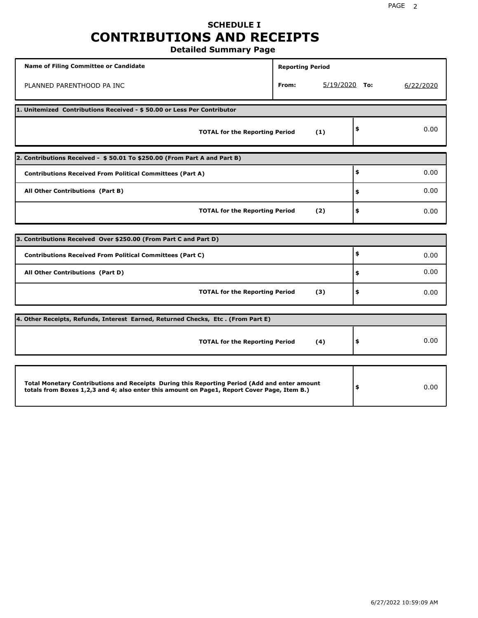# **SCHEDULE I CONTRIBUTIONS AND RECEIPTS**

**Detailed Summary Page**

| <b>Name of Filing Committee or Candidate</b>                                                                                                                                                | <b>Reporting Period</b> |                 |           |
|---------------------------------------------------------------------------------------------------------------------------------------------------------------------------------------------|-------------------------|-----------------|-----------|
| PLANNED PARENTHOOD PA INC                                                                                                                                                                   | From:                   | $5/19/2020$ To: | 6/22/2020 |
| 1. Unitemized Contributions Received - \$50.00 or Less Per Contributor                                                                                                                      |                         |                 |           |
| <b>TOTAL for the Reporting Period</b>                                                                                                                                                       | (1)                     | \$              | 0.00      |
| 2. Contributions Received - \$50.01 To \$250.00 (From Part A and Part B)                                                                                                                    |                         |                 |           |
| <b>Contributions Received From Political Committees (Part A)</b>                                                                                                                            |                         | \$              | 0.00      |
| All Other Contributions (Part B)                                                                                                                                                            | \$                      | 0.00            |           |
| <b>TOTAL for the Reporting Period</b>                                                                                                                                                       | \$                      | 0.00            |           |
| 3. Contributions Received Over \$250.00 (From Part C and Part D)                                                                                                                            |                         |                 |           |
| <b>Contributions Received From Political Committees (Part C)</b>                                                                                                                            |                         | \$              | 0.00      |
| All Other Contributions (Part D)                                                                                                                                                            |                         | \$              | 0.00      |
| <b>TOTAL for the Reporting Period</b>                                                                                                                                                       | (3)                     | \$              | 0.00      |
|                                                                                                                                                                                             |                         |                 |           |
| 4. Other Receipts, Refunds, Interest Earned, Returned Checks, Etc. (From Part E)                                                                                                            |                         |                 |           |
| <b>TOTAL for the Reporting Period</b>                                                                                                                                                       | (4)                     | \$              | 0.00      |
|                                                                                                                                                                                             |                         |                 |           |
| Total Monetary Contributions and Receipts During this Reporting Period (Add and enter amount<br>totals from Boxes 1,2,3 and 4; also enter this amount on Page1, Report Cover Page, Item B.) |                         | \$              | 0.00      |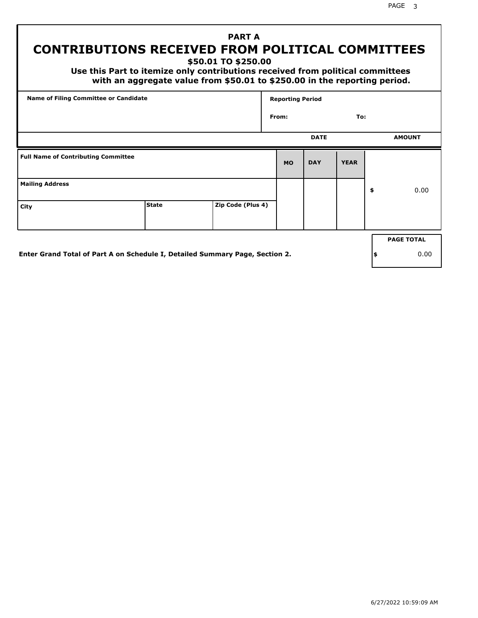PAGE 3

## **PART A CONTRIBUTIONS RECEIVED FROM POLITICAL COMMITTEES**

**\$50.01 TO \$250.00**

 **Use this Part to itemize only contributions received from political committees with an aggregate value from \$50.01 to \$250.00 in the reporting period.**

|                                            | <b>Name of Filing Committee or Candidate</b>                                 |                   |           |             | <b>Reporting Period</b> |    |                   |  |  |  |
|--------------------------------------------|------------------------------------------------------------------------------|-------------------|-----------|-------------|-------------------------|----|-------------------|--|--|--|
|                                            |                                                                              |                   | From:     |             | To:                     |    |                   |  |  |  |
|                                            |                                                                              |                   |           | <b>DATE</b> |                         |    | <b>AMOUNT</b>     |  |  |  |
| <b>Full Name of Contributing Committee</b> |                                                                              |                   | <b>MO</b> | <b>DAY</b>  | <b>YEAR</b>             |    |                   |  |  |  |
| <b>Mailing Address</b>                     |                                                                              |                   |           |             |                         | \$ | 0.00              |  |  |  |
| City                                       | <b>State</b>                                                                 | Zip Code (Plus 4) |           |             |                         |    |                   |  |  |  |
|                                            |                                                                              |                   |           |             |                         |    | <b>PAGE TOTAL</b> |  |  |  |
|                                            | Enter Grand Total of Part A on Schedule I, Detailed Summary Page, Section 2. |                   |           |             |                         | \$ | 0.00              |  |  |  |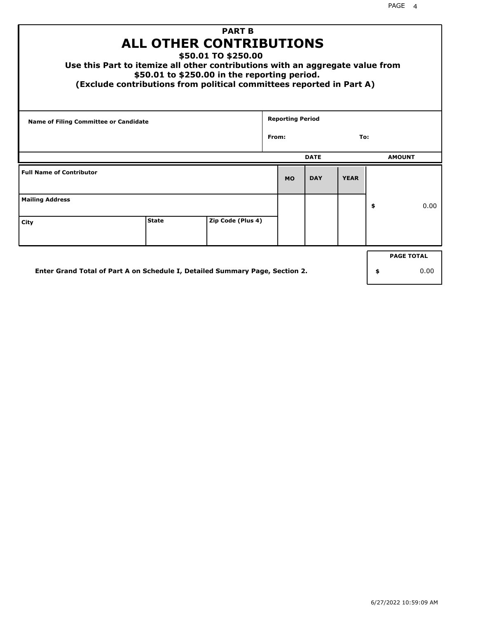| Use this Part to itemize all other contributions with an aggregate value from<br>(Exclude contributions from political committees reported in Part A) | <b>ALL OTHER CONTRIBUTIONS</b><br>\$50.01 to \$250.00 in the reporting period. | <b>PART B</b><br>\$50.01 TO \$250.00 |       |                         |             |             |                   |
|-------------------------------------------------------------------------------------------------------------------------------------------------------|--------------------------------------------------------------------------------|--------------------------------------|-------|-------------------------|-------------|-------------|-------------------|
| <b>Name of Filing Committee or Candidate</b>                                                                                                          |                                                                                |                                      | From: | <b>Reporting Period</b> |             | To:         |                   |
|                                                                                                                                                       |                                                                                |                                      |       |                         |             |             |                   |
|                                                                                                                                                       |                                                                                |                                      |       |                         | <b>DATE</b> |             | <b>AMOUNT</b>     |
| <b>Full Name of Contributor</b>                                                                                                                       |                                                                                |                                      |       | <b>MO</b>               | <b>DAY</b>  | <b>YEAR</b> |                   |
| <b>Mailing Address</b>                                                                                                                                |                                                                                |                                      |       |                         |             |             | \$<br>0.00        |
| City                                                                                                                                                  | <b>State</b>                                                                   | Zip Code (Plus 4)                    |       |                         |             |             |                   |
|                                                                                                                                                       |                                                                                |                                      |       |                         |             |             | <b>PAGE TOTAL</b> |
| Enter Grand Total of Part A on Schedule I, Detailed Summary Page, Section 2.                                                                          |                                                                                |                                      |       |                         |             |             | \$<br>0.00        |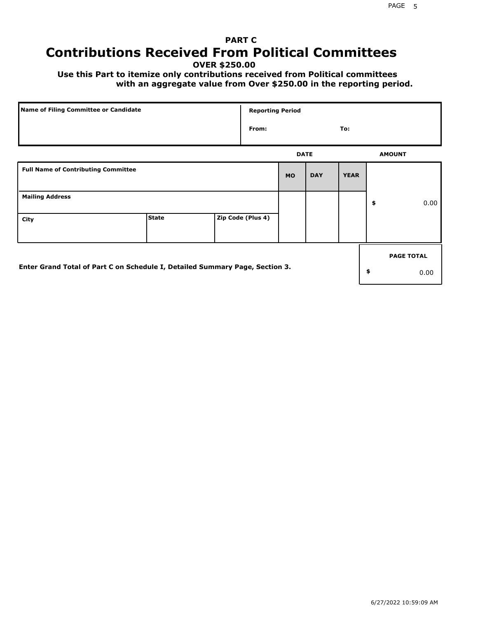## **PART C Contributions Received From Political Committees**

**OVER \$250.00**

 **Use this Part to itemize only contributions received from Political committees with an aggregate value from Over \$250.00 in the reporting period.**

| Name of Filing Committee or Candidate                                        |              |  | <b>Reporting Period</b> |           |             |             |    |                   |
|------------------------------------------------------------------------------|--------------|--|-------------------------|-----------|-------------|-------------|----|-------------------|
|                                                                              |              |  | From:                   |           |             | To:         |    |                   |
|                                                                              |              |  |                         |           | <b>DATE</b> |             |    | <b>AMOUNT</b>     |
| <b>Full Name of Contributing Committee</b>                                   |              |  |                         | <b>MO</b> | <b>DAY</b>  | <b>YEAR</b> |    |                   |
| <b>Mailing Address</b>                                                       |              |  |                         |           |             |             | \$ | 0.00              |
| City                                                                         | <b>State</b> |  | Zip Code (Plus 4)       |           |             |             |    |                   |
|                                                                              |              |  |                         |           |             |             |    | <b>PAGE TOTAL</b> |
| Enter Grand Total of Part C on Schedule I, Detailed Summary Page, Section 3. |              |  |                         |           |             |             | \$ | 0.00              |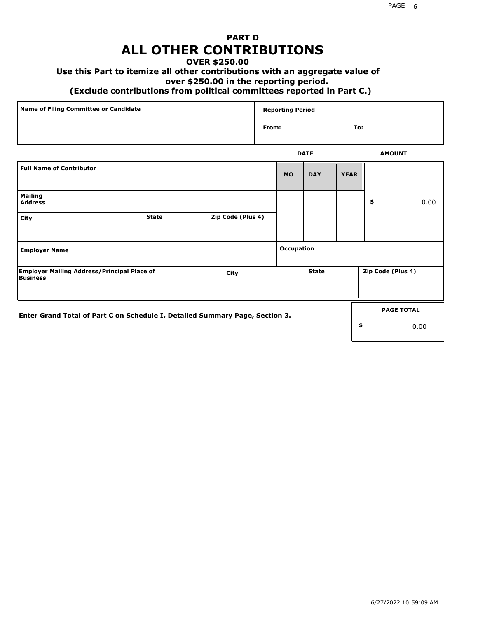## **PART D ALL OTHER CONTRIBUTIONS**

### **OVER \$250.00**

### **Use this Part to itemize all other contributions with an aggregate value of**

#### **over \$250.00 in the reporting period.**

#### **(Exclude contributions from political committees reported in Part C.)**

| Name of Filing Committee or Candidate | <b>Reporting Period</b> |               |
|---------------------------------------|-------------------------|---------------|
|                                       | From:                   | To:           |
|                                       | <b>DATE</b>             | <b>AMOUNT</b> |

|                                                                              |              |                   |            | ----         |             |                   | <b>APPOIT</b>     |
|------------------------------------------------------------------------------|--------------|-------------------|------------|--------------|-------------|-------------------|-------------------|
| <b>Full Name of Contributor</b>                                              |              |                   | <b>MO</b>  | <b>DAY</b>   | <b>YEAR</b> |                   |                   |
| <b>Mailing</b><br><b>Address</b>                                             |              |                   |            |              |             | \$                | 0.00              |
| City                                                                         | <b>State</b> | Zip Code (Plus 4) |            |              |             |                   |                   |
| <b>Employer Name</b>                                                         |              |                   | Occupation |              |             |                   |                   |
| <b>Employer Mailing Address/Principal Place of</b><br>Business               |              | City              |            | <b>State</b> |             | Zip Code (Plus 4) |                   |
| Enter Grand Total of Part C on Schedule I, Detailed Summary Page, Section 3. |              |                   |            |              |             |                   | <b>PAGE TOTAL</b> |
|                                                                              |              |                   |            |              |             | \$                | 0.00              |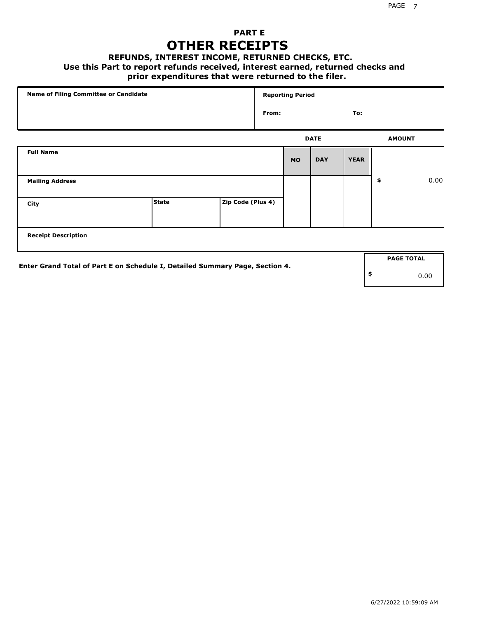## **PART E OTHER RECEIPTS**

#### **REFUNDS, INTEREST INCOME, RETURNED CHECKS, ETC.**

#### **Use this Part to report refunds received, interest earned, returned checks and**

### **prior expenditures that were returned to the filer.**

|                                                                              | Name of Filing Committee or Candidate |                   |       | <b>Reporting Period</b> |             |             |    |                   |  |
|------------------------------------------------------------------------------|---------------------------------------|-------------------|-------|-------------------------|-------------|-------------|----|-------------------|--|
|                                                                              |                                       |                   | From: |                         |             | To:         |    |                   |  |
|                                                                              |                                       |                   |       |                         | <b>DATE</b> |             |    | <b>AMOUNT</b>     |  |
| <b>Full Name</b>                                                             |                                       |                   |       | <b>MO</b>               | <b>DAY</b>  | <b>YEAR</b> |    |                   |  |
| <b>Mailing Address</b>                                                       |                                       |                   |       |                         |             |             | \$ | 0.00              |  |
| City                                                                         | <b>State</b>                          | Zip Code (Plus 4) |       |                         |             |             |    |                   |  |
| <b>Receipt Description</b>                                                   |                                       |                   |       |                         |             |             |    |                   |  |
| Enter Grand Total of Part E on Schedule I, Detailed Summary Page, Section 4. |                                       |                   |       |                         |             |             |    | <b>PAGE TOTAL</b> |  |
|                                                                              |                                       |                   |       |                         |             |             | \$ | 0.00              |  |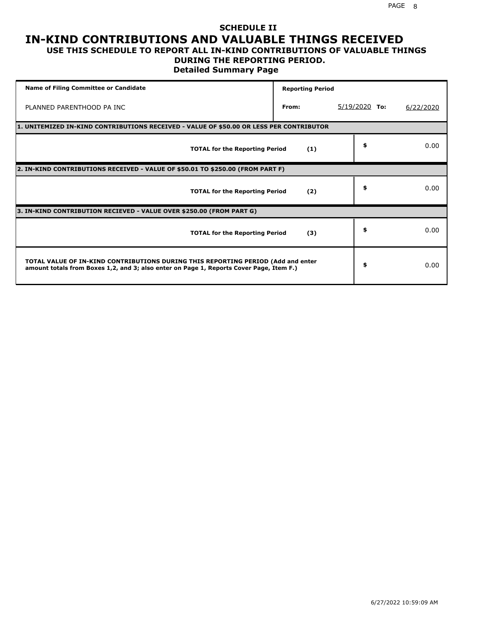### **SCHEDULE II IN-KIND CONTRIBUTIONS AND VALUABLE THINGS RECEIVED USE THIS SCHEDULE TO REPORT ALL IN-KIND CONTRIBUTIONS OF VALUABLE THINGS**

### **DURING THE REPORTING PERIOD.**

**Detailed Summary Page**

| <b>Name of Filing Committee or Candidate</b>                                                                                                                                | <b>Reporting Period</b> |                 |           |
|-----------------------------------------------------------------------------------------------------------------------------------------------------------------------------|-------------------------|-----------------|-----------|
| PLANNED PARENTHOOD PA INC                                                                                                                                                   | From:                   | $5/19/2020$ To: | 6/22/2020 |
| 1. UNITEMIZED IN-KIND CONTRIBUTIONS RECEIVED - VALUE OF \$50.00 OR LESS PER CONTRIBUTOR                                                                                     |                         |                 |           |
| <b>TOTAL for the Reporting Period</b>                                                                                                                                       | (1)                     | \$              | 0.00      |
| 2. IN-KIND CONTRIBUTIONS RECEIVED - VALUE OF \$50.01 TO \$250.00 (FROM PART F)                                                                                              |                         |                 |           |
| <b>TOTAL for the Reporting Period</b>                                                                                                                                       | (2)                     | \$              | 0.00      |
| 3. IN-KIND CONTRIBUTION RECIEVED - VALUE OVER \$250.00 (FROM PART G)                                                                                                        |                         |                 |           |
| <b>TOTAL for the Reporting Period</b>                                                                                                                                       | (3)                     | \$              | 0.00      |
| TOTAL VALUE OF IN-KIND CONTRIBUTIONS DURING THIS REPORTING PERIOD (Add and enter<br>amount totals from Boxes 1,2, and 3; also enter on Page 1, Reports Cover Page, Item F.) |                         | \$              | 0.00      |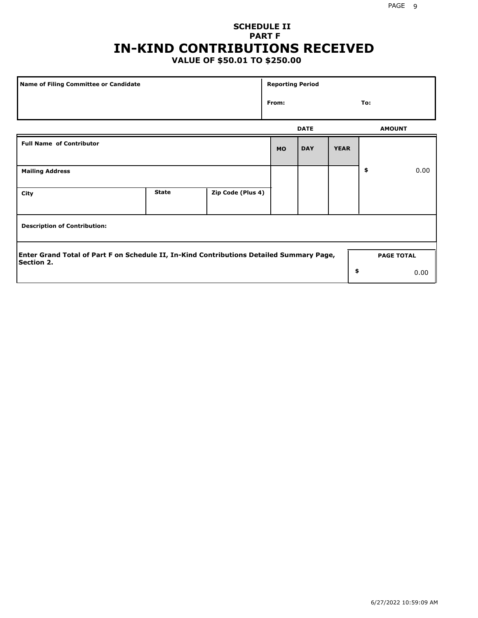## **SCHEDULE II PART F IN-KIND CONTRIBUTIONS RECEIVED**

## **VALUE OF \$50.01 TO \$250.00**

| Name of Filing Committee or Candidate                                                                         |              |                   |           | <b>Reporting Period</b> |             |                   |      |  |  |
|---------------------------------------------------------------------------------------------------------------|--------------|-------------------|-----------|-------------------------|-------------|-------------------|------|--|--|
|                                                                                                               |              |                   | From:     |                         |             | To:               |      |  |  |
|                                                                                                               |              |                   |           | <b>DATE</b>             |             | <b>AMOUNT</b>     |      |  |  |
| <b>Full Name of Contributor</b>                                                                               |              |                   | <b>MO</b> | <b>DAY</b>              | <b>YEAR</b> |                   |      |  |  |
| <b>Mailing Address</b>                                                                                        |              |                   |           |                         |             | \$                | 0.00 |  |  |
| City                                                                                                          | <b>State</b> | Zip Code (Plus 4) |           |                         |             |                   |      |  |  |
| <b>Description of Contribution:</b>                                                                           |              |                   |           |                         |             |                   |      |  |  |
| Enter Grand Total of Part F on Schedule II, In-Kind Contributions Detailed Summary Page,<br><b>Section 2.</b> |              |                   |           |                         |             | <b>PAGE TOTAL</b> |      |  |  |
|                                                                                                               |              |                   |           |                         | \$          |                   | 0.00 |  |  |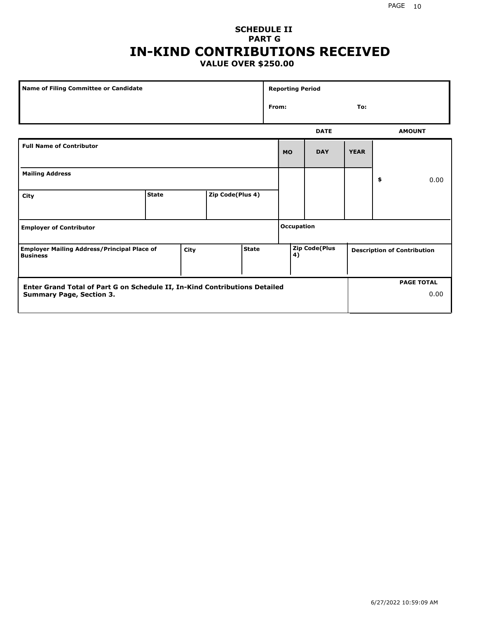### **SCHEDULE II PART G IN-KIND CONTRIBUTIONS RECEIVED VALUE OVER \$250.00**

| Name of Filing Committee or Candidate                                                  |              |  |                  |  | <b>Reporting Period</b> |                                                                  |             |             |    |               |
|----------------------------------------------------------------------------------------|--------------|--|------------------|--|-------------------------|------------------------------------------------------------------|-------------|-------------|----|---------------|
|                                                                                        |              |  |                  |  |                         | From:<br>To:                                                     |             |             |    |               |
|                                                                                        |              |  |                  |  |                         |                                                                  | <b>DATE</b> |             |    | <b>AMOUNT</b> |
| <b>Full Name of Contributor</b>                                                        |              |  |                  |  |                         | <b>MO</b>                                                        | <b>DAY</b>  | <b>YEAR</b> |    |               |
| <b>Mailing Address</b>                                                                 |              |  |                  |  |                         |                                                                  |             |             | \$ | 0.00          |
| City                                                                                   | <b>State</b> |  | Zip Code(Plus 4) |  |                         |                                                                  |             |             |    |               |
| <b>Employer of Contributor</b>                                                         |              |  |                  |  |                         | <b>Occupation</b>                                                |             |             |    |               |
| State<br><b>Employer Mailing Address/Principal Place of</b><br>City<br><b>Business</b> |              |  |                  |  |                         | <b>Zip Code(Plus</b><br><b>Description of Contribution</b><br>4) |             |             |    |               |

| <b>Enter Grand Total of Part G on Schedule II, In-Kind Contributions Detailed</b> |  | <b>PAGE TOTAL</b> |
|-----------------------------------------------------------------------------------|--|-------------------|
| <b>Summary Page, Section 3.</b>                                                   |  | 0.00              |
|                                                                                   |  |                   |